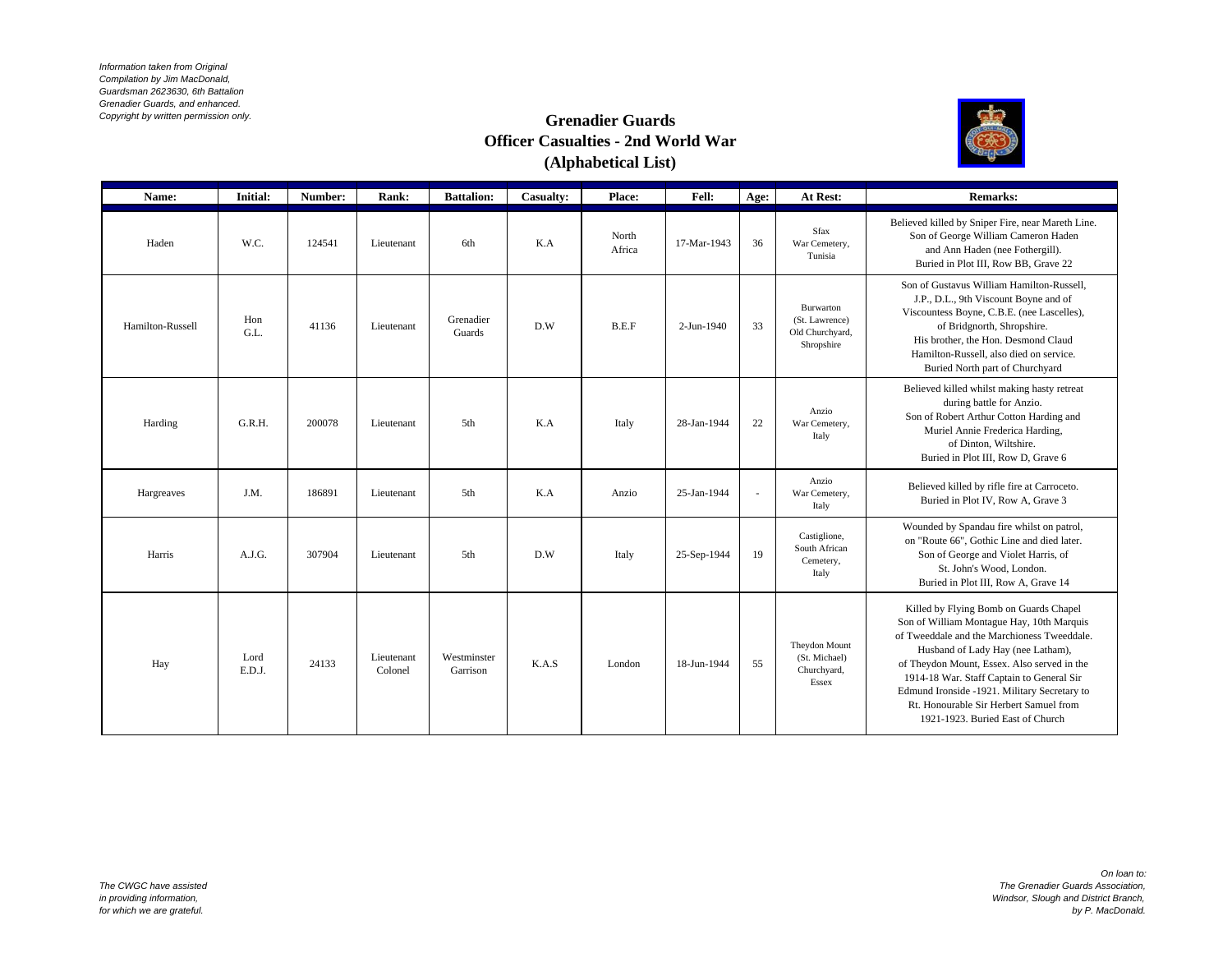*Information taken from Original Compilation by Jim MacDonald, Guardsman 2623630, 6th Battalion Grenadier Guards, and enhanced. Copyright by written permission only.*

## **Grenadier Guards Officer Casualties - 2nd World War (Alphabetical List)**



| Name:            | Initial:       | Number: | Rank:                 | <b>Battalion:</b>       | Casualty: | Place:          | Fell:       | Age:         | At Rest:                                                     | <b>Remarks:</b>                                                                                                                                                                                                                                                                                                                                                                                   |
|------------------|----------------|---------|-----------------------|-------------------------|-----------|-----------------|-------------|--------------|--------------------------------------------------------------|---------------------------------------------------------------------------------------------------------------------------------------------------------------------------------------------------------------------------------------------------------------------------------------------------------------------------------------------------------------------------------------------------|
| Haden            | W.C.           | 124541  | Lieutenant            | 6th                     | K.A       | North<br>Africa | 17-Mar-1943 | 36           | <b>Sfax</b><br>War Cemetery,<br>Tunisia                      | Believed killed by Sniper Fire, near Mareth Line.<br>Son of George William Cameron Haden<br>and Ann Haden (nee Fothergill).<br>Buried in Plot III, Row BB, Grave 22                                                                                                                                                                                                                               |
| Hamilton-Russell | Hon<br>G.L.    | 41136   | Lieutenant            | Grenadier<br>Guards     | D.W       | B.E.F           | 2-Jun-1940  | 33           | Burwarton<br>(St. Lawrence)<br>Old Churchyard,<br>Shropshire | Son of Gustavus William Hamilton-Russell,<br>J.P., D.L., 9th Viscount Boyne and of<br>Viscountess Boyne, C.B.E. (nee Lascelles),<br>of Bridgnorth, Shropshire.<br>His brother, the Hon. Desmond Claud<br>Hamilton-Russell, also died on service.<br>Buried North part of Churchyard                                                                                                               |
| Harding          | G.R.H.         | 200078  | Lieutenant            | 5th                     | K.A       | Italy           | 28-Jan-1944 | 22           | Anzio<br>War Cemetery,<br>Italy                              | Believed killed whilst making hasty retreat<br>during battle for Anzio.<br>Son of Robert Arthur Cotton Harding and<br>Muriel Annie Frederica Harding,<br>of Dinton, Wiltshire.<br>Buried in Plot III, Row D, Grave 6                                                                                                                                                                              |
| Hargreaves       | J.M.           | 186891  | Lieutenant            | 5th                     | K.A       | Anzio           | 25-Jan-1944 | $\mathbf{r}$ | Anzio<br>War Cemetery,<br>Italy                              | Believed killed by rifle fire at Carroceto.<br>Buried in Plot IV, Row A, Grave 3                                                                                                                                                                                                                                                                                                                  |
| Harris           | A.J.G.         | 307904  | Lieutenant            | 5th                     | D.W       | Italy           | 25-Sep-1944 | 19           | Castiglione,<br>South African<br>Cemetery,<br>Italy          | Wounded by Spandau fire whilst on patrol,<br>on "Route 66", Gothic Line and died later.<br>Son of George and Violet Harris, of<br>St. John's Wood, London.<br>Buried in Plot III, Row A, Grave 14                                                                                                                                                                                                 |
| Hay              | Lord<br>E.D.J. | 24133   | Lieutenant<br>Colonel | Westminster<br>Garrison | K.A.S     | London          | 18-Jun-1944 | 55           | Theydon Mount<br>(St. Michael)<br>Churchyard,<br>Essex       | Killed by Flying Bomb on Guards Chapel<br>Son of William Montague Hay, 10th Marquis<br>of Tweeddale and the Marchioness Tweeddale.<br>Husband of Lady Hay (nee Latham),<br>of Theydon Mount, Essex. Also served in the<br>1914-18 War. Staff Captain to General Sir<br>Edmund Ironside -1921. Military Secretary to<br>Rt. Honourable Sir Herbert Samuel from<br>1921-1923. Buried East of Church |